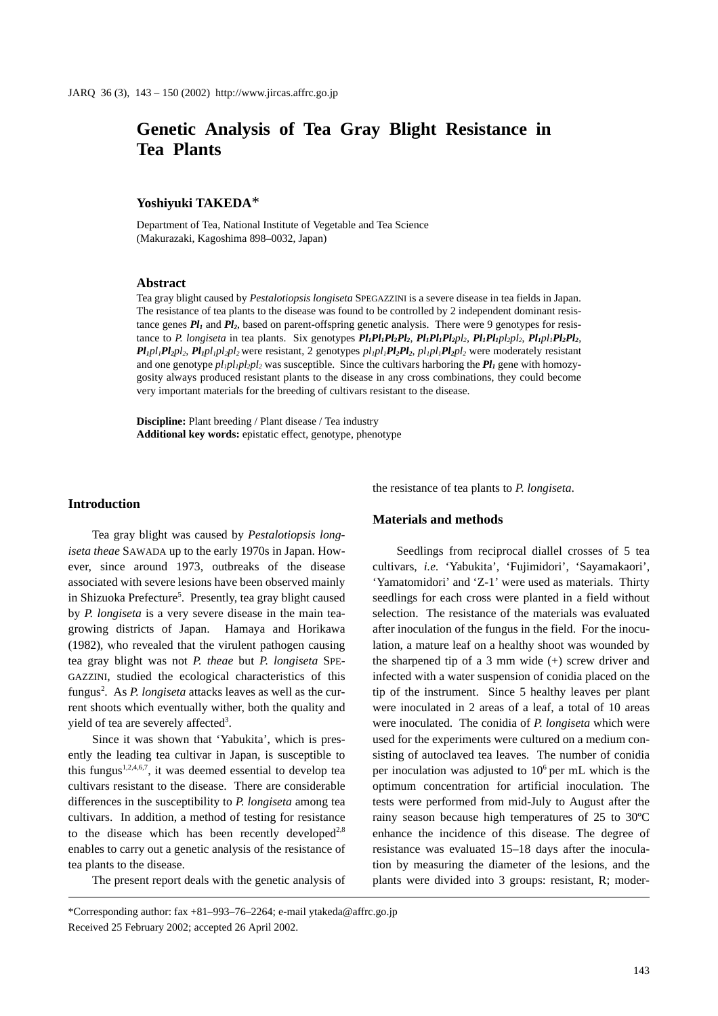# **Genetic Analysis of Tea Gray Blight Resistance in Tea Plants**

## **Yoshiyuki TAKEDA**\*

Department of Tea, National Institute of Vegetable and Tea Science (Makurazaki, Kagoshima 898–0032, Japan)

#### **Abstract**

Tea gray blight caused by *Pestalotiopsis longiseta* SPEGAZZINI is a severe disease in tea fields in Japan. The resistance of tea plants to the disease was found to be controlled by 2 independent dominant resistance genes  $Pl_1$  and  $Pl_2$ , based on parent-offspring genetic analysis. There were 9 genotypes for resistance to *P. longiseta* in tea plants. Six genotypes  $Pl_1Pl_1Pl_2Pl_2$ ,  $Pl_1Pl_1Pl_2pl_2$ ,  $Pl_1Pl_1pl_2pl_2$ ,  $Pl_1pl_1Pl_2Pl_2$ ,  $Pl_1$ *pl<sub>1</sub>* $Pl_2$ *pl<sub>2</sub>*,  $Pl_1$ *pl<sub>1</sub>pl<sub>2</sub>pl<sub>2</sub>* were resistant, 2 genotypes  $pl_1$ *pl<sub>1</sub>Pl<sub>2</sub>Pl<sub>2</sub>,*  $pl_1$ *<i>pl<sub>1</sub>Pl<sub>2</sub>pl<sub>2</sub>* were moderately resistant and one genotype  $p_l_1p_l_2p_l_2$  was susceptible. Since the cultivars harboring the  $Pl_1$  gene with homozygosity always produced resistant plants to the disease in any cross combinations, they could become very important materials for the breeding of cultivars resistant to the disease.

**Discipline:** Plant breeding / Plant disease / Tea industry **Additional key words:** epistatic effect, genotype, phenotype

#### **Introduction**

Tea gray blight was caused by *Pestalotiopsis longiseta theae* SAWADA up to the early 1970s in Japan. However, since around 1973, outbreaks of the disease associated with severe lesions have been observed mainly in Shizuoka Prefecture<sup>5</sup>. Presently, tea gray blight caused by *P. longiseta* is a very severe disease in the main teagrowing districts of Japan. Hamaya and Horikawa (1982), who revealed that the virulent pathogen causing tea gray blight was not *P. theae* but *P. longiseta* SPE-GAZZINI, studied the ecological characteristics of this fungus<sup>2</sup>. As *P. longiseta* attacks leaves as well as the current shoots which eventually wither, both the quality and yield of tea are severely affected<sup>3</sup>.

Since it was shown that 'Yabukita', which is presently the leading tea cultivar in Japan, is susceptible to this fungus<sup>1,2,4,6,7</sup>, it was deemed essential to develop tea cultivars resistant to the disease. There are considerable differences in the susceptibility to *P. longiseta* among tea cultivars. In addition, a method of testing for resistance to the disease which has been recently developed<sup>2,8</sup> enables to carry out a genetic analysis of the resistance of tea plants to the disease.

The present report deals with the genetic analysis of

the resistance of tea plants to *P. longiseta*.

## **Materials and methods**

Seedlings from reciprocal diallel crosses of 5 tea cultivars, *i.e.* 'Yabukita', 'Fujimidori', 'Sayamakaori', 'Yamatomidori' and 'Z-1' were used as materials. Thirty seedlings for each cross were planted in a field without selection. The resistance of the materials was evaluated after inoculation of the fungus in the field. For the inoculation, a mature leaf on a healthy shoot was wounded by the sharpened tip of a  $3$  mm wide  $(+)$  screw driver and infected with a water suspension of conidia placed on the tip of the instrument. Since 5 healthy leaves per plant were inoculated in 2 areas of a leaf, a total of 10 areas were inoculated. The conidia of *P. longiseta* which were used for the experiments were cultured on a medium consisting of autoclaved tea leaves. The number of conidia per inoculation was adjusted to  $10<sup>6</sup>$  per mL which is the optimum concentration for artificial inoculation. The tests were performed from mid-July to August after the rainy season because high temperatures of 25 to 30ºC enhance the incidence of this disease. The degree of resistance was evaluated 15–18 days after the inoculation by measuring the diameter of the lesions, and the plants were divided into 3 groups: resistant, R; moder-

<sup>\*</sup>Corresponding author: fax +81–993–76–2264; e-mail ytakeda@affrc.go.jp Received 25 February 2002; accepted 26 April 2002.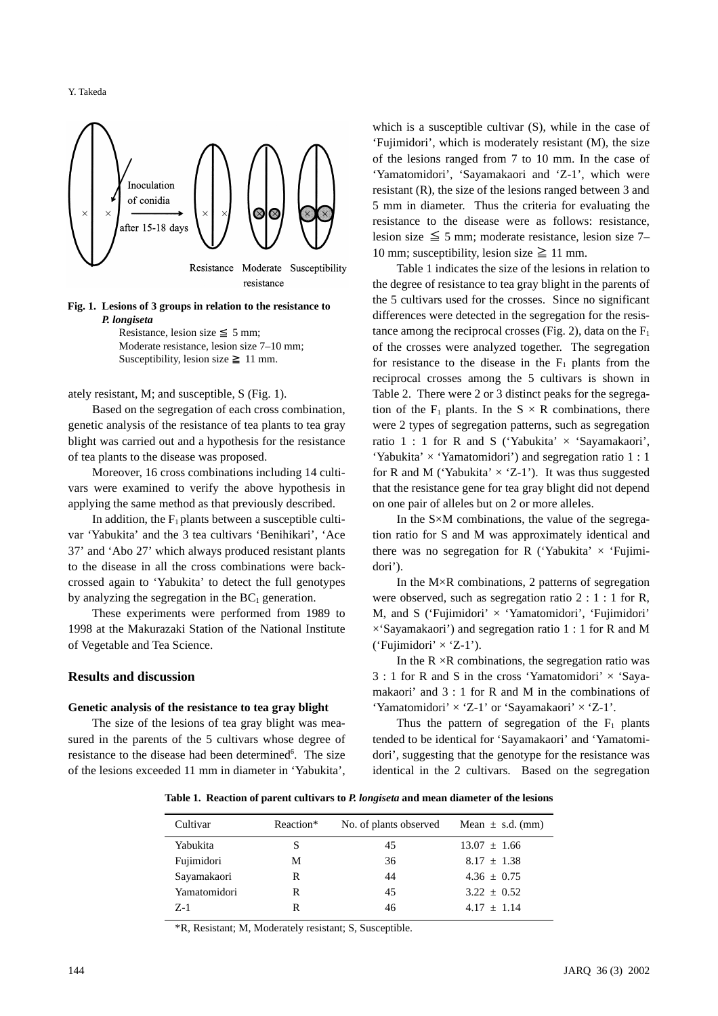Y. Takeda



#### **Fig. 1. Lesions of 3 groups in relation to the resistance to**  *P. longiseta*

Resistance, lesion size 5 mm; Moderate resistance, lesion size 7–10 mm; Susceptibility, lesion size 11 mm.

ately resistant, M; and susceptible, S (Fig. 1).

Based on the segregation of each cross combination, genetic analysis of the resistance of tea plants to tea gray blight was carried out and a hypothesis for the resistance of tea plants to the disease was proposed.

Moreover, 16 cross combinations including 14 cultivars were examined to verify the above hypothesis in applying the same method as that previously described.

In addition, the  $F_1$  plants between a susceptible cultivar 'Yabukita' and the 3 tea cultivars 'Benihikari', 'Ace 37' and 'Abo 27' which always produced resistant plants to the disease in all the cross combinations were backcrossed again to 'Yabukita' to detect the full genotypes by analyzing the segregation in the  $BC<sub>1</sub>$  generation.

These experiments were performed from 1989 to 1998 at the Makurazaki Station of the National Institute of Vegetable and Tea Science.

## **Results and discussion**

#### **Genetic analysis of the resistance to tea gray blight**

The size of the lesions of tea gray blight was measured in the parents of the 5 cultivars whose degree of resistance to the disease had been determined<sup>6</sup>. The size of the lesions exceeded 11 mm in diameter in 'Yabukita', which is a susceptible cultivar (S), while in the case of 'Fujimidori', which is moderately resistant (M), the size of the lesions ranged from 7 to 10 mm. In the case of 'Yamatomidori', 'Sayamakaori and 'Z-1', which were resistant (R), the size of the lesions ranged between 3 and 5 mm in diameter. Thus the criteria for evaluating the resistance to the disease were as follows: resistance, lesion size  $\leq$  5 mm; moderate resistance, lesion size 7– 10 mm; susceptibility, lesion size  $\geq$  11 mm.

Table 1 indicates the size of the lesions in relation to the degree of resistance to tea gray blight in the parents of the 5 cultivars used for the crosses. Since no significant differences were detected in the segregation for the resistance among the reciprocal crosses (Fig. 2), data on the  $F_1$ of the crosses were analyzed together. The segregation for resistance to the disease in the  $F_1$  plants from the reciprocal crosses among the 5 cultivars is shown in Table 2. There were 2 or 3 distinct peaks for the segregation of the  $F_1$  plants. In the  $S \times R$  combinations, there were 2 types of segregation patterns, such as segregation ratio  $1:1$  for R and S ('Yabukita'  $\times$  'Sayamakaori', 'Yabukita'  $\times$  'Yamatomidori') and segregation ratio 1 : 1 for R and M ('Yabukita'  $\times$  'Z-1'). It was thus suggested that the resistance gene for tea gray blight did not depend on one pair of alleles but on 2 or more alleles.

In the  $S \times M$  combinations, the value of the segregation ratio for S and M was approximately identical and there was no segregation for R ('Yabukita'  $\times$  'Fujimidori').

In the  $M \times R$  combinations, 2 patterns of segregation were observed, such as segregation ratio 2 : 1 : 1 for R, M, and S ('Fujimidori'  $\times$  'Yamatomidori', 'Fujimidori'  $\times$ 'Sayamakaori') and segregation ratio 1 : 1 for R and M ('Fujimidori'  $\times$  'Z-1').

In the  $R \times R$  combinations, the segregation ratio was  $3:1$  for R and S in the cross 'Yamatomidori'  $\times$  'Sayamakaori' and 3 : 1 for R and M in the combinations of 'Yamatomidori'  $\times$  'Z-1' or 'Sayamakaori'  $\times$  'Z-1'.

Thus the pattern of segregation of the  $F_1$  plants tended to be identical for 'Sayamakaori' and 'Yamatomidori', suggesting that the genotype for the resistance was identical in the 2 cultivars. Based on the segregation

**Table 1. Reaction of parent cultivars to** *P. longiseta* **and mean diameter of the lesions**

| Cultivar     | Reaction* | No. of plants observed | Mean $\pm$ s.d. (mm) |
|--------------|-----------|------------------------|----------------------|
| Yabukita     |           | 45                     | $13.07 \pm 1.66$     |
| Fujimidori   | М         | 36                     | $8.17 + 1.38$        |
| Sayamakaori  | R         | 44                     | $4.36 + 0.75$        |
| Yamatomidori | R         | 45                     | $3.22 + 0.52$        |
| $Z-1$        | R         | 46                     | $4.17 + 1.14$        |

\*R, Resistant; M, Moderately resistant; S, Susceptible.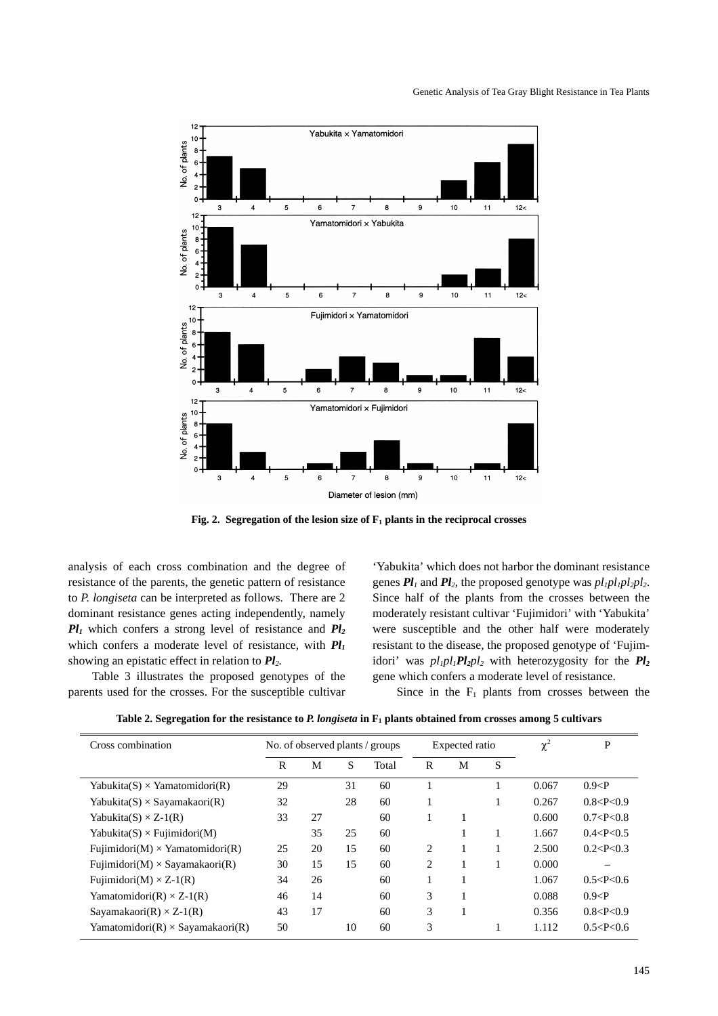

**Fig. 2.** Segregation of the lesion size of  $F_1$  plants in the reciprocal crosses

analysis of each cross combination and the degree of resistance of the parents, the genetic pattern of resistance to *P. longiseta* can be interpreted as follows. There are 2 dominant resistance genes acting independently, namely  $Pl_1$  which confers a strong level of resistance and  $Pl_2$ which confers a moderate level of resistance, with *Pl1* showing an epistatic effect in relation to *Pl2.*

Table 3 illustrates the proposed genotypes of the parents used for the crosses. For the susceptible cultivar

'Yabukita' which does not harbor the dominant resistance genes  $Pl_1$  and  $Pl_2$ , the proposed genotype was  $pl_1pl_2pl_2$ . Since half of the plants from the crosses between the moderately resistant cultivar 'Fujimidori' with 'Yabukita' were susceptible and the other half were moderately resistant to the disease, the proposed genotype of 'Fujimidori' was  $p l_1 p l_1 P l_2 p l_2$  with heterozygosity for the  $Pl_2$ gene which confers a moderate level of resistance.

Since in the  $F_1$  plants from crosses between the

| Table 2. Segregation for the resistance to P. longiseta in F <sub>1</sub> plants obtained from crosses among 5 cultivars |  |  |
|--------------------------------------------------------------------------------------------------------------------------|--|--|
|--------------------------------------------------------------------------------------------------------------------------|--|--|

| Cross combination                           | No. of observed plants / groups |    |    | Expected ratio |                |   | $\chi^2$ | P     |               |
|---------------------------------------------|---------------------------------|----|----|----------------|----------------|---|----------|-------|---------------|
|                                             | R                               | M  | S  | Total          | R              | M | S        |       |               |
| Yabukita $(S) \times$ Yamatomidori $(R)$    | 29                              |    | 31 | 60             |                |   |          | 0.067 | 0.9 < P       |
| Yabukita $(S) \times$ Sayamakaori $(R)$     | 32                              |    | 28 | 60             |                |   |          | 0.267 | 0.8 < P < 0.9 |
| Yabukita $(S) \times Z$ -1(R)               | 33                              | 27 |    | 60             |                |   |          | 0.600 | 0.7 < P < 0.8 |
| Yabukita $(S) \times \text{Fujimidori}(M)$  |                                 | 35 | 25 | 60             |                |   |          | 1.667 | 0.4 < P < 0.5 |
| Fujimidori(M) $\times$ Yamatomidori(R)      | 25                              | 20 | 15 | 60             | $\overline{c}$ |   |          | 2.500 | 0.2 < P < 0.3 |
| Fujimidori(M) $\times$ Sayamakaori(R)       | 30                              | 15 | 15 | 60             | 2              |   |          | 0.000 |               |
| Fujimidori(M) $\times$ Z-1(R)               | 34                              | 26 |    | 60             |                |   |          | 1.067 | 0.5 < P < 0.6 |
| Yamatomidori $(R) \times Z$ -1 $(R)$        | 46                              | 14 |    | 60             | 3              |   |          | 0.088 | 0.9 < P       |
| Sayamakaori $(R) \times Z$ -1 $(R)$         | 43                              | 17 |    | 60             | 3              |   |          | 0.356 | 0.8 < P < 0.9 |
| Yamatomidori $(R) \times$ Sayamakaori $(R)$ | 50                              |    | 10 | 60             | 3              |   |          | 1.112 | 0.5 < P < 0.6 |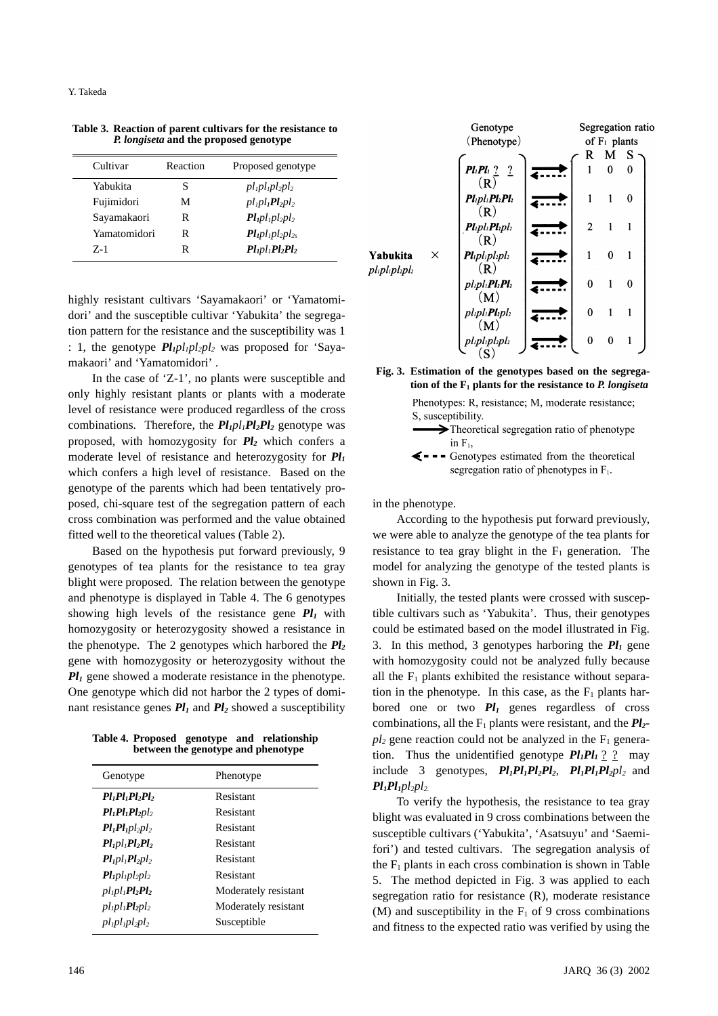| Cultivar     | Reaction | Proposed genotype                                               |
|--------------|----------|-----------------------------------------------------------------|
| Yabukita     | S        | $pl_1pl_2pl_2$                                                  |
| Fujimidori   | М        | $p$ l <sub>1</sub> $p$ l <sub>1</sub> $Pl_2$ $p$ l <sub>2</sub> |
| Sayamakaori  | R        | $Pl_1$ $pl_2$ $pl_2$                                            |
| Yamatomidori | R        | $Pl_{1}pl_{2}pl_{2s}$                                           |
| $Z-1$        | R        | $Pl_1pl_1Pl_2Pl_2$                                              |

**Table 3. Reaction of parent cultivars for the resistance to** *P. longiseta* **and the proposed genotype**

highly resistant cultivars 'Sayamakaori' or 'Yamatomidori' and the susceptible cultivar 'Yabukita' the segregation pattern for the resistance and the susceptibility was 1 : 1, the genotype  $Pl_1 pl_2 pl_2$  was proposed for 'Sayamakaori' and 'Yamatomidori' .

In the case of 'Z-1', no plants were susceptible and only highly resistant plants or plants with a moderate level of resistance were produced regardless of the cross combinations. Therefore, the  $Pl_1pl_1Pl_2Pl_2$  genotype was proposed, with homozygosity for  $Pl_2$  which confers a moderate level of resistance and heterozygosity for *Pl1* which confers a high level of resistance. Based on the genotype of the parents which had been tentatively proposed, chi-square test of the segregation pattern of each cross combination was performed and the value obtained fitted well to the theoretical values (Table 2).

Based on the hypothesis put forward previously, 9 genotypes of tea plants for the resistance to tea gray blight were proposed. The relation between the genotype and phenotype is displayed in Table 4. The 6 genotypes showing high levels of the resistance gene  $Pl_1$  with homozygosity or heterozygosity showed a resistance in the phenotype. The 2 genotypes which harbored the *Pl2* gene with homozygosity or heterozygosity without the *Pl<sub>1</sub>* gene showed a moderate resistance in the phenotype. One genotype which did not harbor the 2 types of dominant resistance genes  $Pl_1$  and  $Pl_2$  showed a susceptibility

**Table 4. Proposed genotype and relationship between the genotype and phenotype**

| Genotype                    | Phenotype            |
|-----------------------------|----------------------|
| $Pl1Pl2Pl2$                 | Resistant            |
| $Pl_1Pl_2Pl_2$              | Resistant            |
| $Pl_1Pl_2pl_2$              | Resistant            |
| $Pl_1$ $Pl_2$ $Pl_2$        | Resistant            |
| $Pl_1$ $Pl_2$ $Pl_2$        | Resistant            |
| $Pl_1pl_2pl_2$              | Resistant            |
| $p l_1 p l_1$ $Pl_2$ $Pl_2$ | Moderately resistant |
| $p l_1 p l_1$ $Pl_2 p l_2$  | Moderately resistant |
| $p_{l}p_{l}p_{l}p_{l}p_{l}$ | Susceptible          |



**Fig. 3. Estimation of the genotypes based on the segregation of the F1 plants for the resistance to** *P. longiseta*

Phenotypes: R, resistance; M, moderate resistance; S, susceptibility.

>Theoretical segregation ratio of phenotype in  $F_1$ ,

 $\leftarrow$  - Genotypes estimated from the theoretical segregation ratio of phenotypes in  $F_1$ .

in the phenotype.

According to the hypothesis put forward previously, we were able to analyze the genotype of the tea plants for resistance to tea gray blight in the  $F_1$  generation. The model for analyzing the genotype of the tested plants is shown in Fig. 3.

Initially, the tested plants were crossed with susceptible cultivars such as 'Yabukita'. Thus, their genotypes could be estimated based on the model illustrated in Fig. 3. In this method, 3 genotypes harboring the  $Pl_1$  gene with homozygosity could not be analyzed fully because all the  $F_1$  plants exhibited the resistance without separation in the phenotype. In this case, as the  $F_1$  plants harbored one or two  $Pl_1$  genes regardless of cross combinations, all the  $F_1$  plants were resistant, and the  $Pl_2$  $pl_2$  gene reaction could not be analyzed in the  $F_1$  generation. Thus the unidentified genotype  $Pl_1Pl_1$  ? ? may include 3 genotypes,  $Pl_1Pl_2Pl_2$ ,  $Pl_1Pl_1Pl_2pl_2$  and  $Pl_1Pl_2pl_2$ 

To verify the hypothesis, the resistance to tea gray blight was evaluated in 9 cross combinations between the susceptible cultivars ('Yabukita', 'Asatsuyu' and 'Saemifori') and tested cultivars. The segregation analysis of the  $F_1$  plants in each cross combination is shown in Table 5. The method depicted in Fig. 3 was applied to each segregation ratio for resistance (R), moderate resistance (M) and susceptibility in the  $F_1$  of 9 cross combinations and fitness to the expected ratio was verified by using the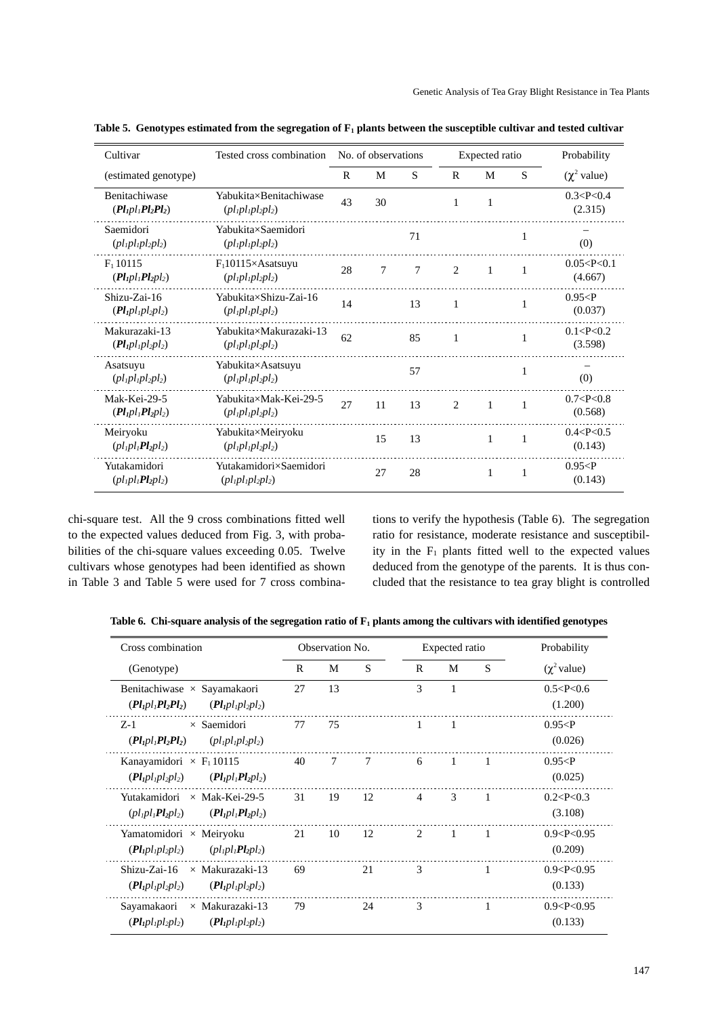| Cultivar                                          | Tested cross combination                                                                                                                                                          |              | No. of observations |    | Expected ratio |              |                | Probability               |
|---------------------------------------------------|-----------------------------------------------------------------------------------------------------------------------------------------------------------------------------------|--------------|---------------------|----|----------------|--------------|----------------|---------------------------|
| (estimated genotype)                              |                                                                                                                                                                                   | $\mathsf{R}$ | M                   | S  | R              | M            | S              | $(\chi^2$ value)          |
| Benitachiwase<br>$(Pl1pl1Pl2Pl2)$                 | Yabukita×Benitachiwase<br>$\left( pl_1pl_2pl_2pl_2 \right)$                                                                                                                       | 43           | 30                  |    | 1              | 1            |                | 0.3 < P < 0.4<br>(2.315)  |
| Saemidori<br>$(pl1pl2pl2)$                        | Yabukita×Saemidori<br>$(pl1pl2pl2)$                                                                                                                                               |              |                     | 71 |                |              | 1              | (0)                       |
| $F_1$ 10115<br>$(Pl_1pl_1Pl_2pl_2)$               | $F_1$ 10115×Asatsuyu<br>$\left( pl_1pl_2pl_2pl_2 \right)$                                                                                                                         | 28           | 7                   | 7  | $\overline{c}$ | 1            | 1              | 0.05 < P < 0.1<br>(4.667) |
| Shizu-Zai-16<br>$(Pl_1pl_2pl_2)$                  | Yabukita×Shizu-Zai-16<br>$\left( pl_1pl_2pl_2pl_2 \right)$                                                                                                                        | 14           |                     | 13 | 1              |              | 1              | 0.95 < P<br>(0.037)       |
| Makurazaki-13<br>$(Pl_1pl_2pl_2)$                 | Yabukita×Makurazaki-13<br>$\left( pl_1pl_2pl_2pl_2 \right)$                                                                                                                       | 62           |                     | 85 | 1              |              | 1              | 0.1 < P < 0.2<br>(3.598)  |
| Asatsuyu<br>$(\rho l_1 \rho l_2 \rho l_2)$        | Yabukita×Asatsuyu<br>$\left( pl_1pl_2pl_2pl_2 \right)$                                                                                                                            |              |                     | 57 |                |              | 1              | (0)                       |
| Mak-Kei-29-5<br>$(Pl_1pl_1Pl_2pl_2)$              | Yabukita×Mak-Kei-29-5<br>$\left($ <i>p</i> $\left\{$ <sub><i>l</i></sub> p $\left\{$ $\right\}$ <sub><i>lp</i><math>\left\{</math><math>\right\}</math><math>\right)</math></sub> | 27           | 11                  | 13 | $\mathfrak{D}$ | $\mathbf{1}$ | $\overline{1}$ | 0.7 < P < 0.8<br>(0.568)  |
| Meiryoku<br>$\left( pl_1pl_1Pl_2pl_2 \right)$     | Yabukita×Meiryoku<br>$(\rho l_1 \rho l_2 \rho l_2)$                                                                                                                               |              | 15                  | 13 |                | 1            | 1              | 0.4 < P < 0.5<br>(0.143)  |
| Yutakamidori<br>$\left( pl_1pl_2Pl_2pl_2 \right)$ | Yutakamidori×Saemidori<br>$(\rho l_1 \rho l_2 \rho l_2)$                                                                                                                          |              | 27                  | 28 |                | 1            | 1              | 0.95 < P<br>(0.143)       |

Table 5. Genotypes estimated from the segregation of  $F_1$  plants between the susceptible cultivar and tested cultivar

chi-square test. All the 9 cross combinations fitted well to the expected values deduced from Fig. 3, with probabilities of the chi-square values exceeding 0.05. Twelve cultivars whose genotypes had been identified as shown in Table 3 and Table 5 were used for 7 cross combina-

tions to verify the hypothesis (Table 6). The segregation ratio for resistance, moderate resistance and susceptibility in the  $F_1$  plants fitted well to the expected values deduced from the genotype of the parents. It is thus concluded that the resistance to tea gray blight is controlled

Table 6. Chi-square analysis of the segregation ratio of  $F_1$  plants among the cultivars with identified genotypes

| Cross combination                                                                          |    | Observation No. |    |                | Expected ratio | Probability |                           |
|--------------------------------------------------------------------------------------------|----|-----------------|----|----------------|----------------|-------------|---------------------------|
| (Genotype)                                                                                 | R  | М               | S  | R              | M              | S           | $(\chi^2$ value)          |
| Benitachiwase $\times$ Sayamakaori<br>$(Pl_1pl_1Pl_2Pl_2)$<br>$(Pl_1pl_2pl_2)$             | 27 | 13              |    | 3              | 1              |             | 0.5 < P < 0.6<br>(1.200)  |
| $\times$ Saemidori<br>$Z-1$<br>$(Pl1pl1Pl2Pl2)$<br>$(\rho l_1 \rho l_1 \rho l_2 \rho l_2)$ | 77 | 75              |    | 1              | 1              |             | 0.95 < P<br>(0.026)       |
| Kanayamidori $\times$ F <sub>1</sub> 10115<br>$(Pl_1pl_1pl_2pl_2)$<br>$(Pl_1pl_1Pl_2pl_2)$ | 40 | 7               | 7  | 6              | $\mathbf{1}$   | 1           | 0.95 < P<br>(0.025)       |
| Yutakamidori × Mak-Kei-29-5<br>$\left( pl_1pl_1Pl_2pl_2 \right)$<br>$(Pl_1pl_1Pl_2pl_2)$   | 31 | 19              | 12 | $\overline{4}$ | 3              | -1          | 0.2 < P < 0.3<br>(3.108)  |
| Yamatomidori $\times$ Meiryoku<br>$(Pl_1pl_2pl_2)$<br>$(\rho l_1 \rho l_1 Pl_2 \rho l_2)$  | 21 | 10              | 12 | 2              | $\mathbf{1}$   | 1           | 0.9 < P < 0.95<br>(0.209) |
| $\times$ Makurazaki-13<br>Shizu-Zai-16<br>$(Pl_1pl_2pl_2)$<br>$(Pl_1pl_2pl_2)$             | 69 |                 | 21 | 3              |                | 1           | 0.9 < P < 0.95<br>(0.133) |
| Sayamakaori<br>$\times$ Makurazaki-13<br>$(Pl_1pl_2pl_2)$<br>$(Pl_1pl_2pl_2)$              | 79 |                 | 24 | 3              |                |             | 0.9 < P < 0.95<br>(0.133) |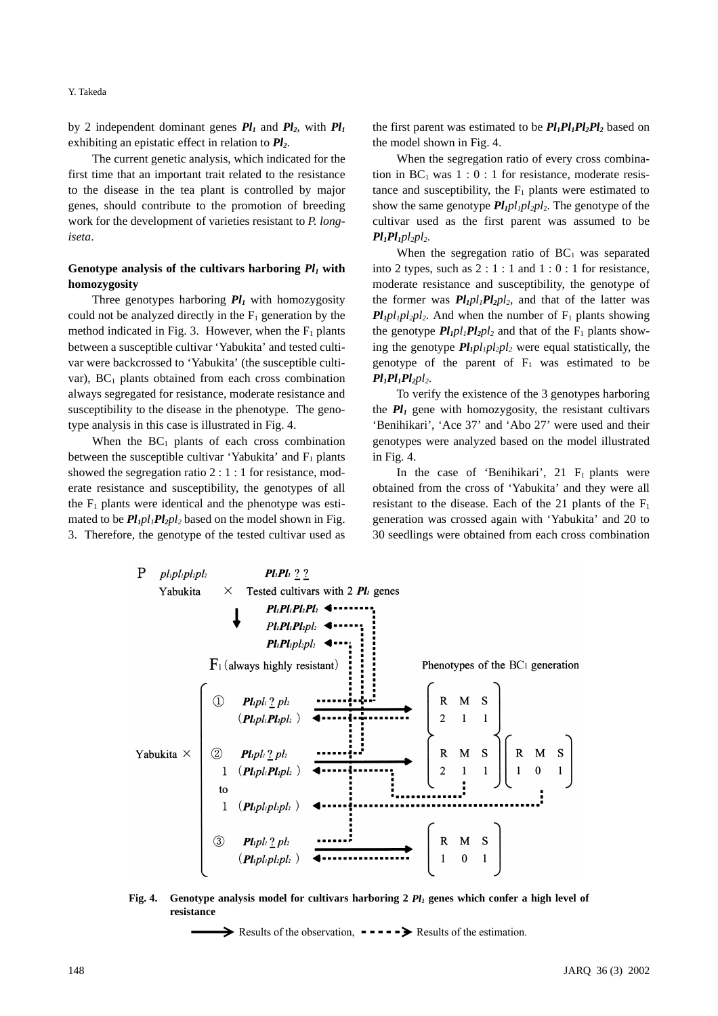Y. Takeda

by 2 independent dominant genes  $Pl_1$  and  $Pl_2$ , with  $Pl_1$ exhibiting an epistatic effect in relation to  $Pl_2$ .

The current genetic analysis, which indicated for the first time that an important trait related to the resistance to the disease in the tea plant is controlled by major genes, should contribute to the promotion of breeding work for the development of varieties resistant to *P. longiseta*.

## **Genotype analysis of the cultivars harboring** *Pl1* **with homozygosity**

Three genotypes harboring  $Pl_1$  with homozygosity could not be analyzed directly in the  $F_1$  generation by the method indicated in Fig. 3. However, when the  $F_1$  plants between a susceptible cultivar 'Yabukita' and tested cultivar were backcrossed to 'Yabukita' (the susceptible cultivar),  $BC_1$  plants obtained from each cross combination always segregated for resistance, moderate resistance and susceptibility to the disease in the phenotype. The genotype analysis in this case is illustrated in Fig. 4.

When the  $BC_1$  plants of each cross combination between the susceptible cultivar 'Yabukita' and  $F_1$  plants showed the segregation ratio 2 : 1 : 1 for resistance, moderate resistance and susceptibility, the genotypes of all the  $F_1$  plants were identical and the phenotype was estimated to be  $Pl_1pl_1Pl_2pl_2$  based on the model shown in Fig. 3. Therefore, the genotype of the tested cultivar used as the first parent was estimated to be  $Pl_1Pl_2Pl_2$  based on the model shown in Fig. 4.

When the segregation ratio of every cross combination in  $BC_1$  was  $1 : 0 : 1$  for resistance, moderate resistance and susceptibility, the  $F_1$  plants were estimated to show the same genotype  $Pl_1pl_1pl_2pl_2$ . The genotype of the cultivar used as the first parent was assumed to be  $Pl_1Pl_1pl_2pl_2$ .

When the segregation ratio of  $BC<sub>1</sub>$  was separated into 2 types, such as  $2:1:1$  and  $1:0:1$  for resistance, moderate resistance and susceptibility, the genotype of the former was  $Pl_1pl_1Pl_2pl_2$ , and that of the latter was  $Pl_1$ *pl<sub>1</sub>pl<sub>2</sub>pl<sub>2</sub>*. And when the number of  $F_1$  plants showing the genotype  $Pl_1Pl_2Pl_2$  and that of the  $F_1$  plants showing the genotype  $Pl_1 pl_2 pl_2$  were equal statistically, the genotype of the parent of  $F_1$  was estimated to be  $Pl_1Pl_2Pl_2$ 

To verify the existence of the 3 genotypes harboring the  $Pl_1$  gene with homozygosity, the resistant cultivars 'Benihikari', 'Ace 37' and 'Abo 27' were used and their genotypes were analyzed based on the model illustrated in Fig. 4.

In the case of 'Benihikari', 21  $F_1$  plants were obtained from the cross of 'Yabukita' and they were all resistant to the disease. Each of the 21 plants of the  $F_1$ generation was crossed again with 'Yabukita' and 20 to 30 seedlings were obtained from each cross combination



**Fig. 4.** Genotype analysis model for cultivars harboring  $2$   $Pl_1$  genes which confer a high level of **resistance**

Results of the observation,  $\bullet$   $\bullet$   $\bullet$   $\bullet$   $\bullet$  Results of the estimation.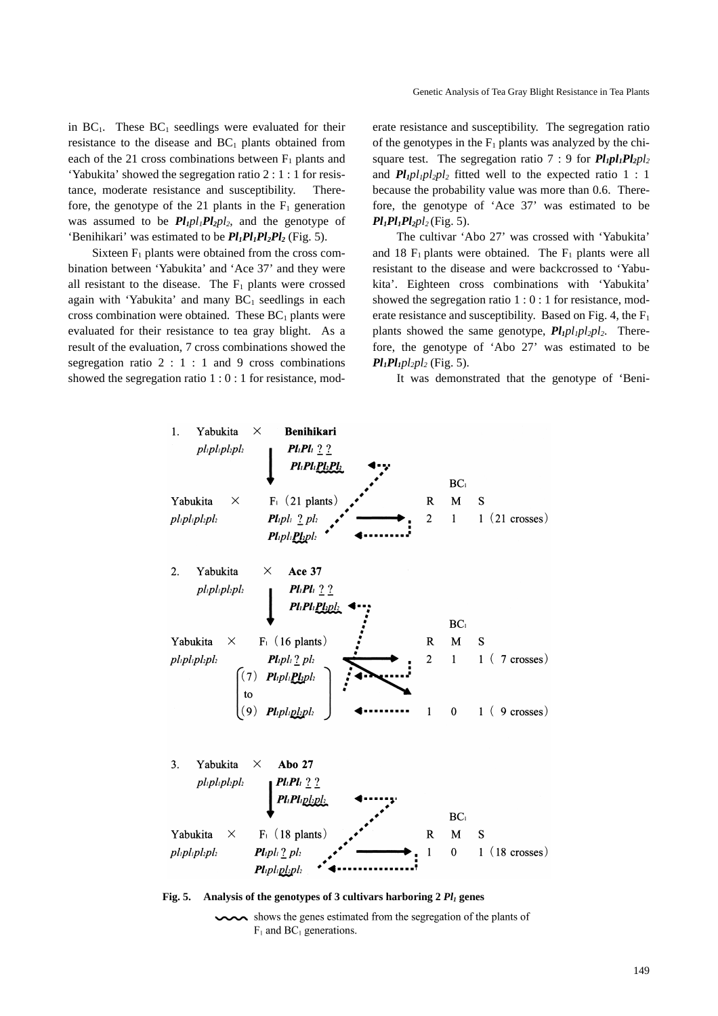in  $BC_1$ . These  $BC_1$  seedlings were evaluated for their resistance to the disease and  $BC_1$  plants obtained from each of the 21 cross combinations between  $F_1$  plants and 'Yabukita' showed the segregation ratio 2 : 1 : 1 for resistance, moderate resistance and susceptibility. Therefore, the genotype of the 21 plants in the  $F_1$  generation was assumed to be  $Pl_1pl_1Pl_2pl_2$ , and the genotype of 'Benihikari' was estimated to be  $Pl_1Pl_2Pl_2$  (Fig. 5).

Sixteen  $F_1$  plants were obtained from the cross combination between 'Yabukita' and 'Ace 37' and they were all resistant to the disease. The  $F_1$  plants were crossed again with 'Yabukita' and many  $BC<sub>1</sub>$  seedlings in each cross combination were obtained. These  $BC<sub>1</sub>$  plants were evaluated for their resistance to tea gray blight. As a result of the evaluation, 7 cross combinations showed the segregation ratio  $2 : 1 : 1$  and 9 cross combinations showed the segregation ratio 1 : 0 : 1 for resistance, moderate resistance and susceptibility. The segregation ratio of the genotypes in the  $F_1$  plants was analyzed by the chisquare test. The segregation ratio  $7 : 9$  for  $Pl_1Pl_2Pl_2$ and  $Pl_1 pl_2 pl_2$  fitted well to the expected ratio 1 : 1 because the probability value was more than 0.6. Therefore, the genotype of 'Ace 37' was estimated to be  $Pl_1Pl_2Pl_2$  (Fig. 5).

The cultivar 'Abo 27' was crossed with 'Yabukita' and 18  $F_1$  plants were obtained. The  $F_1$  plants were all resistant to the disease and were backcrossed to 'Yabukita'. Eighteen cross combinations with 'Yabukita' showed the segregation ratio 1 : 0 : 1 for resistance, moderate resistance and susceptibility. Based on Fig. 4, the  $F_1$ plants showed the same genotype,  $Pl_1pl_1pl_2pl_2$ . Therefore, the genotype of 'Abo 27' was estimated to be  $Pl_1Pl_1$ *pl<sub>2</sub>pl<sub>2</sub>* (Fig. 5).

It was demonstrated that the genotype of 'Beni-



Fig. 5. Analysis of the genotypes of 3 cultivars harboring 2  $Pl_1$  genes

shows the genes estimated from the segregation of the plants of  $F_1$  and BC<sub>1</sub> generations.